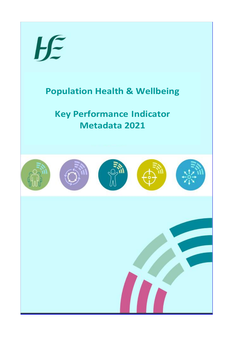

## **Population Health & Wellbeing Population Health & Wellbeing**

## **Key Performance Indicator Key Performance Indicator Metadata 2021 Metadata 2021**

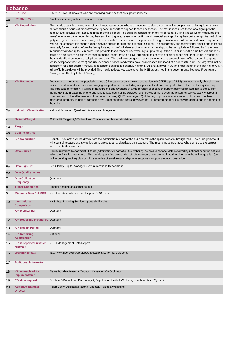|                | <b>Tobacco</b>                               |                                                                                                                                                                                                                                                                                                                                                                                                                                                                                                                                                                                                                                                                                                                                                                                                                                                                                                                                                                                                                                                                                                                                                                                                                                                                                                                                                                                                                                                                                                                                                                                                                                                                                                                                                                                                                                                                                                                                                                                   |  |  |
|----------------|----------------------------------------------|-----------------------------------------------------------------------------------------------------------------------------------------------------------------------------------------------------------------------------------------------------------------------------------------------------------------------------------------------------------------------------------------------------------------------------------------------------------------------------------------------------------------------------------------------------------------------------------------------------------------------------------------------------------------------------------------------------------------------------------------------------------------------------------------------------------------------------------------------------------------------------------------------------------------------------------------------------------------------------------------------------------------------------------------------------------------------------------------------------------------------------------------------------------------------------------------------------------------------------------------------------------------------------------------------------------------------------------------------------------------------------------------------------------------------------------------------------------------------------------------------------------------------------------------------------------------------------------------------------------------------------------------------------------------------------------------------------------------------------------------------------------------------------------------------------------------------------------------------------------------------------------------------------------------------------------------------------------------------------------|--|--|
|                | <b>KPI Title</b>                             | HWB101 - No. of smokers who are receiving online cessation support services                                                                                                                                                                                                                                                                                                                                                                                                                                                                                                                                                                                                                                                                                                                                                                                                                                                                                                                                                                                                                                                                                                                                                                                                                                                                                                                                                                                                                                                                                                                                                                                                                                                                                                                                                                                                                                                                                                       |  |  |
| 1a             | <b>KPI Short Title</b>                       | Smokers receiving online cessation support                                                                                                                                                                                                                                                                                                                                                                                                                                                                                                                                                                                                                                                                                                                                                                                                                                                                                                                                                                                                                                                                                                                                                                                                                                                                                                                                                                                                                                                                                                                                                                                                                                                                                                                                                                                                                                                                                                                                        |  |  |
| 2              | <b>KPI Description</b>                       | This metric quantifies the number of smokers/tobacco users who are motivated to sign up to the online quitplan (an online quitting tracker)<br>plus or minus a series of email/text or telephone supports to support tobacco cessation. The metric measures those who sign up to the<br>quitplan and activate their account in the reporting period. The quitplan consists of an online personal quitting tracker which measures the<br>users' level of nicotine dependence, their smoking triggers, reasons for quitting and financial savings during their quit attempt. As part of the<br>quitplan sign up the user is encouraged to also avail of a series of other supports including motivational email and/or text based supports as<br>well as the standard telephone support service offered through the national QUITline. The preparatory and motivational emails and texts are<br>sent daily for two weeks before the 'set quit date', on the 'quit date' and for up to one month post the 'set quit date' followed by further less<br>frequent emails for up to 12 months. It is possible that a tobacco user who signs up to the quitplan plus or minus the email or text supports<br>could also be accessing either the face to face support through a HSE quit smoking cessation clinic or group and/or could be in receipt of<br>the standardised schedule of telephone supports. The evidence suggests that those who access a combination of behavioural supports<br>(online/telephone/face to face) and use evidenced based medication have an increased likelihood of a successful quit. The target will not be<br>consistent for each quarter. Activity in cessation services is generally higher in Q1 and 2, lower in Q3 and rises again in the first half of Q4. A<br>full profile breakdown will be provided.This metric reflects key actions for the HSE as outlined in the governments Tobacco Free Ireland<br>Strategy and Healthy Ireland Strategy. |  |  |
| 3              | <b>KPI Rationale</b>                         | Tobacco users in our target population group (all tobacco users/smokers but particularly C2DE aged 24-35) are increasingly choosing our<br>online cessation and text based messaging support services, including our personalised quit plan profile to aid them in their quit attempt.<br>The introduction of this KPI will help measure the effectiveness of a wider range of cessation support services (in addition to the current<br>metric HWB 27 measuring phone and face to face counselling services) and provide a more accurate picture of service activity across all<br>channels and of the effectiveness of our award winning QUIT campaign. Quitplan sign up data is available and robust and has been<br>monitored internally as part of campaign evaluation for some years, however the TFI programme feel it is now prudent to add this metric to<br>the suite.                                                                                                                                                                                                                                                                                                                                                                                                                                                                                                                                                                                                                                                                                                                                                                                                                                                                                                                                                                                                                                                                                                  |  |  |
| За             | <b>Indicator Classification</b>              | National Scorecard Quadrant: Access and Integration                                                                                                                                                                                                                                                                                                                                                                                                                                                                                                                                                                                                                                                                                                                                                                                                                                                                                                                                                                                                                                                                                                                                                                                                                                                                                                                                                                                                                                                                                                                                                                                                                                                                                                                                                                                                                                                                                                                               |  |  |
| $\overline{4}$ | <b>National Target</b>                       | 2021 NSP Target: 7,000 Smokers. This is a cumulative calculation                                                                                                                                                                                                                                                                                                                                                                                                                                                                                                                                                                                                                                                                                                                                                                                                                                                                                                                                                                                                                                                                                                                                                                                                                                                                                                                                                                                                                                                                                                                                                                                                                                                                                                                                                                                                                                                                                                                  |  |  |
| 4a             | <b>Target</b>                                |                                                                                                                                                                                                                                                                                                                                                                                                                                                                                                                                                                                                                                                                                                                                                                                                                                                                                                                                                                                                                                                                                                                                                                                                                                                                                                                                                                                                                                                                                                                                                                                                                                                                                                                                                                                                                                                                                                                                                                                   |  |  |
| 4 <sub>b</sub> | <b>Volume Metrics</b>                        |                                                                                                                                                                                                                                                                                                                                                                                                                                                                                                                                                                                                                                                                                                                                                                                                                                                                                                                                                                                                                                                                                                                                                                                                                                                                                                                                                                                                                                                                                                                                                                                                                                                                                                                                                                                                                                                                                                                                                                                   |  |  |
| 5              | <b>KPI Calculation</b>                       | "Count. This metric will be drawn from the administrative part of the quitplan within the quit.ie website through the P Tools programme. It<br>will count all tobacco users who log on to the quitplan and activate their account."The metric measures those who sign up to the quitplan<br>and activate their account.                                                                                                                                                                                                                                                                                                                                                                                                                                                                                                                                                                                                                                                                                                                                                                                                                                                                                                                                                                                                                                                                                                                                                                                                                                                                                                                                                                                                                                                                                                                                                                                                                                                           |  |  |
| 6              | <b>Data Source</b>                           | Communications Department - Ptools (administrative part of quit.ie website)The data is national data reported by national communications<br>using the P tools programme. This metric quantifies the number of tobacco users who are motivated to sign up to the online quitplan (an<br>online quitting tracker) plus or minus a series of email/text or telephone supports to support tobacco cessation.                                                                                                                                                                                                                                                                                                                                                                                                                                                                                                                                                                                                                                                                                                                                                                                                                                                                                                                                                                                                                                                                                                                                                                                                                                                                                                                                                                                                                                                                                                                                                                          |  |  |
| 6а             | Data Sign Off                                | Ben Cloney, Digital Manager, Communications Department                                                                                                                                                                                                                                                                                                                                                                                                                                                                                                                                                                                                                                                                                                                                                                                                                                                                                                                                                                                                                                                                                                                                                                                                                                                                                                                                                                                                                                                                                                                                                                                                                                                                                                                                                                                                                                                                                                                            |  |  |
| 6 <sub>b</sub> | <b>Data Quality Issues</b>                   |                                                                                                                                                                                                                                                                                                                                                                                                                                                                                                                                                                                                                                                                                                                                                                                                                                                                                                                                                                                                                                                                                                                                                                                                                                                                                                                                                                                                                                                                                                                                                                                                                                                                                                                                                                                                                                                                                                                                                                                   |  |  |
| $\overline{7}$ | <b>Data Collection</b><br><b>Frequency</b>   | Quarterly                                                                                                                                                                                                                                                                                                                                                                                                                                                                                                                                                                                                                                                                                                                                                                                                                                                                                                                                                                                                                                                                                                                                                                                                                                                                                                                                                                                                                                                                                                                                                                                                                                                                                                                                                                                                                                                                                                                                                                         |  |  |
| 8              | <b>Tracer Conditions</b>                     | Smoker seeking assistance to quit                                                                                                                                                                                                                                                                                                                                                                                                                                                                                                                                                                                                                                                                                                                                                                                                                                                                                                                                                                                                                                                                                                                                                                                                                                                                                                                                                                                                                                                                                                                                                                                                                                                                                                                                                                                                                                                                                                                                                 |  |  |
| 9              | <b>Minimum Data Set MDS</b>                  | No. of smokers who received support > 10 mins                                                                                                                                                                                                                                                                                                                                                                                                                                                                                                                                                                                                                                                                                                                                                                                                                                                                                                                                                                                                                                                                                                                                                                                                                                                                                                                                                                                                                                                                                                                                                                                                                                                                                                                                                                                                                                                                                                                                     |  |  |
| 10             | International<br><b>Comparison</b>           | NHS Stop Smoking Service reports similar data                                                                                                                                                                                                                                                                                                                                                                                                                                                                                                                                                                                                                                                                                                                                                                                                                                                                                                                                                                                                                                                                                                                                                                                                                                                                                                                                                                                                                                                                                                                                                                                                                                                                                                                                                                                                                                                                                                                                     |  |  |
| 11             | <b>KPI Monitoring</b>                        | Quarterly                                                                                                                                                                                                                                                                                                                                                                                                                                                                                                                                                                                                                                                                                                                                                                                                                                                                                                                                                                                                                                                                                                                                                                                                                                                                                                                                                                                                                                                                                                                                                                                                                                                                                                                                                                                                                                                                                                                                                                         |  |  |
| 12             | <b>KPI Reporting Frequency Quarterly</b>     |                                                                                                                                                                                                                                                                                                                                                                                                                                                                                                                                                                                                                                                                                                                                                                                                                                                                                                                                                                                                                                                                                                                                                                                                                                                                                                                                                                                                                                                                                                                                                                                                                                                                                                                                                                                                                                                                                                                                                                                   |  |  |
| 13             | <b>KPI Report Period</b>                     | Quarterly                                                                                                                                                                                                                                                                                                                                                                                                                                                                                                                                                                                                                                                                                                                                                                                                                                                                                                                                                                                                                                                                                                                                                                                                                                                                                                                                                                                                                                                                                                                                                                                                                                                                                                                                                                                                                                                                                                                                                                         |  |  |
| 14             | <b>KPI Reporting</b><br><b>Aggregation</b>   | National                                                                                                                                                                                                                                                                                                                                                                                                                                                                                                                                                                                                                                                                                                                                                                                                                                                                                                                                                                                                                                                                                                                                                                                                                                                                                                                                                                                                                                                                                                                                                                                                                                                                                                                                                                                                                                                                                                                                                                          |  |  |
| 15             | <b>KPI</b> is reported in which<br>reports?  | NSP / Management Data Report                                                                                                                                                                                                                                                                                                                                                                                                                                                                                                                                                                                                                                                                                                                                                                                                                                                                                                                                                                                                                                                                                                                                                                                                                                                                                                                                                                                                                                                                                                                                                                                                                                                                                                                                                                                                                                                                                                                                                      |  |  |
| 16             | Web link to data                             | http://www.hse.ie/eng/services/publications/performancereports/                                                                                                                                                                                                                                                                                                                                                                                                                                                                                                                                                                                                                                                                                                                                                                                                                                                                                                                                                                                                                                                                                                                                                                                                                                                                                                                                                                                                                                                                                                                                                                                                                                                                                                                                                                                                                                                                                                                   |  |  |
| 17             | <b>Additional Information</b>                |                                                                                                                                                                                                                                                                                                                                                                                                                                                                                                                                                                                                                                                                                                                                                                                                                                                                                                                                                                                                                                                                                                                                                                                                                                                                                                                                                                                                                                                                                                                                                                                                                                                                                                                                                                                                                                                                                                                                                                                   |  |  |
| 18             | <b>KPI owner/lead for</b><br>implementation  | Elaine Buckley, National Tobacco Cessation Co-Ordinator                                                                                                                                                                                                                                                                                                                                                                                                                                                                                                                                                                                                                                                                                                                                                                                                                                                                                                                                                                                                                                                                                                                                                                                                                                                                                                                                                                                                                                                                                                                                                                                                                                                                                                                                                                                                                                                                                                                           |  |  |
| 19             | <b>PBI data support</b>                      | Siobhán O'Brien, Lead Data Analyst, Population Health & Wellbeing, siobhan.obrien2@hse.ie                                                                                                                                                                                                                                                                                                                                                                                                                                                                                                                                                                                                                                                                                                                                                                                                                                                                                                                                                                                                                                                                                                                                                                                                                                                                                                                                                                                                                                                                                                                                                                                                                                                                                                                                                                                                                                                                                         |  |  |
| 20             | <b>Assistant National</b><br><b>Director</b> | Helen Deely, Assistant National Director, Health & Wellbeing                                                                                                                                                                                                                                                                                                                                                                                                                                                                                                                                                                                                                                                                                                                                                                                                                                                                                                                                                                                                                                                                                                                                                                                                                                                                                                                                                                                                                                                                                                                                                                                                                                                                                                                                                                                                                                                                                                                      |  |  |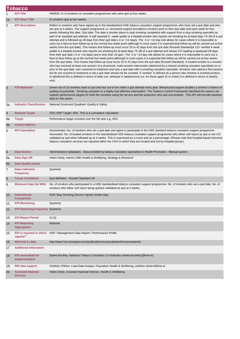|                | <b>Tobacco</b>                               |                                                                                                                                                                                                                                                                                                                                                                                                                                                                                                                                                                                                                                                                                                                                                                                                                                                                                                                                                                                                                                                                                                                                                                                                                                                                                                                                                                                                                                                                                                                                                                                                                                                                                                                                                                                                                                                                                                                                                                                                                                                                                                                                                                                                                                |  |  |
|----------------|----------------------------------------------|--------------------------------------------------------------------------------------------------------------------------------------------------------------------------------------------------------------------------------------------------------------------------------------------------------------------------------------------------------------------------------------------------------------------------------------------------------------------------------------------------------------------------------------------------------------------------------------------------------------------------------------------------------------------------------------------------------------------------------------------------------------------------------------------------------------------------------------------------------------------------------------------------------------------------------------------------------------------------------------------------------------------------------------------------------------------------------------------------------------------------------------------------------------------------------------------------------------------------------------------------------------------------------------------------------------------------------------------------------------------------------------------------------------------------------------------------------------------------------------------------------------------------------------------------------------------------------------------------------------------------------------------------------------------------------------------------------------------------------------------------------------------------------------------------------------------------------------------------------------------------------------------------------------------------------------------------------------------------------------------------------------------------------------------------------------------------------------------------------------------------------------------------------------------------------------------------------------------------------|--|--|
|                | <b>KPI Title</b>                             | HWB26- % of smokers on cessation programmes who were quit at four weeks                                                                                                                                                                                                                                                                                                                                                                                                                                                                                                                                                                                                                                                                                                                                                                                                                                                                                                                                                                                                                                                                                                                                                                                                                                                                                                                                                                                                                                                                                                                                                                                                                                                                                                                                                                                                                                                                                                                                                                                                                                                                                                                                                        |  |  |
| 1a             | <b>KPI Short Title</b>                       | % smokers quit at four weeks                                                                                                                                                                                                                                                                                                                                                                                                                                                                                                                                                                                                                                                                                                                                                                                                                                                                                                                                                                                                                                                                                                                                                                                                                                                                                                                                                                                                                                                                                                                                                                                                                                                                                                                                                                                                                                                                                                                                                                                                                                                                                                                                                                                                   |  |  |
| $\overline{c}$ | <b>KPI Description</b>                       | Refers to smokers who have signed up to the standardised HSE tobacco cessation support programme, who have set a quit date and who<br>are quit at 4 weeks. The support programme i.e. structured support provided to smokers prior to their quit date and each week for four<br>weeks following this date. Quit date: The date a smoker plans to stop smoking completely with support from a stop smoking specialist as<br>part of an assisted quit attempt. A self reported 4 - week quitter is a treated smoker who reports not smoking for at least days 15–28 of a quit<br>attempt and is followed up 28 days from their quit date (-3 or +14 days). The -3 or +14 day rule allows for cases where it is impossible to<br>carry out a face-to-face follow-up at the normal four-week point (although in most cases it is expected that follow-up will be carried out at four<br>weeks from the quit date). This means that follow-up must occur 25 to 42 days from the quit date (Russell Standard)A CO- verified 4 week<br>quitter is a treated smoker who reports not smoking for at least days 15–28 of a quit attempt and whose CO reading is assessed 28 days<br>from their quit date (-3 or +14 days) and is less than 10 ppm. The -3 or +14 day rule allows for cases where it is impossible to carry out a<br>face-to-face follow-up at the normal four-week point (although in most cases it is expected that follow-up will be carried out at four weeks<br>from the quit date). This means that follow-up must occur 25 to 42 days from the quit date (Russell Standard). A treated smoker is a smoker<br>who has received at least one session of a structured, multi-session intervention (delivered by a trained smoking cessation specilaist) on or<br>prior to the quit date, who consents to treatment and sets a quit date with a smoking cessation specialist. Smokers who attend a first session<br>but do not consent to treatment or set a quit date should not be counted. A 'smoker' is defined as a person who smokes a smoked product.<br>In adulthood this is defined in terms of daily use, whereas in adolescence (i.e. for those aged 16 or under) it is defined in terms of weekly<br>use). |  |  |
| 3              | <b>KPI Rationale</b>                         | Seven out of 10 smokers want to quit and four out of ten make a quit attempt every year. Behavioural support doubles a smoker's chance of<br>quitting successfully. Smoking cessation is a highly cost effective intervention. The Tobacco Control Framework identified the need to set<br>realistic performance targets for both the numbers using the service and the proportion who quit successfully. This KPI will provide baseline<br>data for this action.                                                                                                                                                                                                                                                                                                                                                                                                                                                                                                                                                                                                                                                                                                                                                                                                                                                                                                                                                                                                                                                                                                                                                                                                                                                                                                                                                                                                                                                                                                                                                                                                                                                                                                                                                              |  |  |
| За             | <b>Indicator Classification</b>              | National Scorecard Quadrant: Quality & Safety                                                                                                                                                                                                                                                                                                                                                                                                                                                                                                                                                                                                                                                                                                                                                                                                                                                                                                                                                                                                                                                                                                                                                                                                                                                                                                                                                                                                                                                                                                                                                                                                                                                                                                                                                                                                                                                                                                                                                                                                                                                                                                                                                                                  |  |  |
| $\overline{4}$ | <b>National Target</b>                       | 2021 NSP Target: 45%. This is a cumulative calculation                                                                                                                                                                                                                                                                                                                                                                                                                                                                                                                                                                                                                                                                                                                                                                                                                                                                                                                                                                                                                                                                                                                                                                                                                                                                                                                                                                                                                                                                                                                                                                                                                                                                                                                                                                                                                                                                                                                                                                                                                                                                                                                                                                         |  |  |
| 4a             | <b>Target</b>                                | Performance target constant over the full year e.g. 45%                                                                                                                                                                                                                                                                                                                                                                                                                                                                                                                                                                                                                                                                                                                                                                                                                                                                                                                                                                                                                                                                                                                                                                                                                                                                                                                                                                                                                                                                                                                                                                                                                                                                                                                                                                                                                                                                                                                                                                                                                                                                                                                                                                        |  |  |
| 4 <sub>b</sub> | <b>Volume Metrics</b>                        |                                                                                                                                                                                                                                                                                                                                                                                                                                                                                                                                                                                                                                                                                                                                                                                                                                                                                                                                                                                                                                                                                                                                                                                                                                                                                                                                                                                                                                                                                                                                                                                                                                                                                                                                                                                                                                                                                                                                                                                                                                                                                                                                                                                                                                |  |  |
| 5              | <b>KPI Calculation</b>                       | Denominator: No. of smokers who set a quit date and agree to participate in the HSE standard tobacco cessation support programme.<br>Numerator: No. of treated smokers in the standardised HSE tobacco cessation support programme who either self report as quit or are CO<br>validated as quit when followed up at 4 weeks. This is expressed as a count and as a percentage. (Please note that hospital based intensive<br>tobacco cessation services are reported within the CHO in which they are located and not by Hospital group.)                                                                                                                                                                                                                                                                                                                                                                                                                                                                                                                                                                                                                                                                                                                                                                                                                                                                                                                                                                                                                                                                                                                                                                                                                                                                                                                                                                                                                                                                                                                                                                                                                                                                                     |  |  |
| 6              | <b>Data Source</b>                           | Administrative databases. Data provided by tobacco cessation specialists to Health Promotion. Manual system.                                                                                                                                                                                                                                                                                                                                                                                                                                                                                                                                                                                                                                                                                                                                                                                                                                                                                                                                                                                                                                                                                                                                                                                                                                                                                                                                                                                                                                                                                                                                                                                                                                                                                                                                                                                                                                                                                                                                                                                                                                                                                                                   |  |  |
| 6a             | Data Sign Off                                | Helen Deely, Interim AND Health & Wellbeing, Strategy & Research                                                                                                                                                                                                                                                                                                                                                                                                                                                                                                                                                                                                                                                                                                                                                                                                                                                                                                                                                                                                                                                                                                                                                                                                                                                                                                                                                                                                                                                                                                                                                                                                                                                                                                                                                                                                                                                                                                                                                                                                                                                                                                                                                               |  |  |
| 6 <sub>b</sub> | <b>Data Quality Issues</b>                   |                                                                                                                                                                                                                                                                                                                                                                                                                                                                                                                                                                                                                                                                                                                                                                                                                                                                                                                                                                                                                                                                                                                                                                                                                                                                                                                                                                                                                                                                                                                                                                                                                                                                                                                                                                                                                                                                                                                                                                                                                                                                                                                                                                                                                                |  |  |
| 7              | <b>Data Collection</b><br><b>Frequency</b>   | Quarterly                                                                                                                                                                                                                                                                                                                                                                                                                                                                                                                                                                                                                                                                                                                                                                                                                                                                                                                                                                                                                                                                                                                                                                                                                                                                                                                                                                                                                                                                                                                                                                                                                                                                                                                                                                                                                                                                                                                                                                                                                                                                                                                                                                                                                      |  |  |
| 8              | <b>Tracer Conditions</b>                     | Quit definition - Russell Standard UK                                                                                                                                                                                                                                                                                                                                                                                                                                                                                                                                                                                                                                                                                                                                                                                                                                                                                                                                                                                                                                                                                                                                                                                                                                                                                                                                                                                                                                                                                                                                                                                                                                                                                                                                                                                                                                                                                                                                                                                                                                                                                                                                                                                          |  |  |
| 9              | <b>Minimum Data Set MDS</b>                  | No. of smokers who participated in a HSE standardised tobacco cessation support programme. No. of smokers who set a quit date. No. of<br>smokers who either self report being quit/are validated as quit at 4 weeks.                                                                                                                                                                                                                                                                                                                                                                                                                                                                                                                                                                                                                                                                                                                                                                                                                                                                                                                                                                                                                                                                                                                                                                                                                                                                                                                                                                                                                                                                                                                                                                                                                                                                                                                                                                                                                                                                                                                                                                                                           |  |  |
| 10             | International<br><b>Comparison</b>           | NHS Stop Smoking Service reports similar data                                                                                                                                                                                                                                                                                                                                                                                                                                                                                                                                                                                                                                                                                                                                                                                                                                                                                                                                                                                                                                                                                                                                                                                                                                                                                                                                                                                                                                                                                                                                                                                                                                                                                                                                                                                                                                                                                                                                                                                                                                                                                                                                                                                  |  |  |
| 11             | <b>KPI Monitoring</b>                        | Quarterly                                                                                                                                                                                                                                                                                                                                                                                                                                                                                                                                                                                                                                                                                                                                                                                                                                                                                                                                                                                                                                                                                                                                                                                                                                                                                                                                                                                                                                                                                                                                                                                                                                                                                                                                                                                                                                                                                                                                                                                                                                                                                                                                                                                                                      |  |  |
| 12             | <b>KPI Reporting Frequency Quarterly</b>     |                                                                                                                                                                                                                                                                                                                                                                                                                                                                                                                                                                                                                                                                                                                                                                                                                                                                                                                                                                                                                                                                                                                                                                                                                                                                                                                                                                                                                                                                                                                                                                                                                                                                                                                                                                                                                                                                                                                                                                                                                                                                                                                                                                                                                                |  |  |
| 13             | <b>KPI Report Period</b>                     | $Q-1Q$                                                                                                                                                                                                                                                                                                                                                                                                                                                                                                                                                                                                                                                                                                                                                                                                                                                                                                                                                                                                                                                                                                                                                                                                                                                                                                                                                                                                                                                                                                                                                                                                                                                                                                                                                                                                                                                                                                                                                                                                                                                                                                                                                                                                                         |  |  |
| 14             | <b>KPI Reporting</b><br><b>Aggregation</b>   | National                                                                                                                                                                                                                                                                                                                                                                                                                                                                                                                                                                                                                                                                                                                                                                                                                                                                                                                                                                                                                                                                                                                                                                                                                                                                                                                                                                                                                                                                                                                                                                                                                                                                                                                                                                                                                                                                                                                                                                                                                                                                                                                                                                                                                       |  |  |
| 15             | <b>KPI</b> is reported in which<br>reports?  | NSP / Management Data Report / Performance Profile                                                                                                                                                                                                                                                                                                                                                                                                                                                                                                                                                                                                                                                                                                                                                                                                                                                                                                                                                                                                                                                                                                                                                                                                                                                                                                                                                                                                                                                                                                                                                                                                                                                                                                                                                                                                                                                                                                                                                                                                                                                                                                                                                                             |  |  |
| 16             | Web link to data                             | http://www.hse.ie/eng/services/publications/corporate/performancereports/                                                                                                                                                                                                                                                                                                                                                                                                                                                                                                                                                                                                                                                                                                                                                                                                                                                                                                                                                                                                                                                                                                                                                                                                                                                                                                                                                                                                                                                                                                                                                                                                                                                                                                                                                                                                                                                                                                                                                                                                                                                                                                                                                      |  |  |
| 17             | <b>Additional Information</b>                |                                                                                                                                                                                                                                                                                                                                                                                                                                                                                                                                                                                                                                                                                                                                                                                                                                                                                                                                                                                                                                                                                                                                                                                                                                                                                                                                                                                                                                                                                                                                                                                                                                                                                                                                                                                                                                                                                                                                                                                                                                                                                                                                                                                                                                |  |  |
| 18             | <b>KPI</b> owner/lead for<br>implementation  | Elaine Buckley, National Tobacco Cessation Co-Ordinator (elaine.buckley1@hse.ie)                                                                                                                                                                                                                                                                                                                                                                                                                                                                                                                                                                                                                                                                                                                                                                                                                                                                                                                                                                                                                                                                                                                                                                                                                                                                                                                                                                                                                                                                                                                                                                                                                                                                                                                                                                                                                                                                                                                                                                                                                                                                                                                                               |  |  |
| 19             | PBI data support                             | Siobhán O'Brien, Lead Data Analyst, Population Health & Wellbeing, siobhan.obrien2@hse.ie                                                                                                                                                                                                                                                                                                                                                                                                                                                                                                                                                                                                                                                                                                                                                                                                                                                                                                                                                                                                                                                                                                                                                                                                                                                                                                                                                                                                                                                                                                                                                                                                                                                                                                                                                                                                                                                                                                                                                                                                                                                                                                                                      |  |  |
| 20             | <b>Assistant National</b><br><b>Director</b> | Helen Deely, Assistant National Director, Health & Wellbeing                                                                                                                                                                                                                                                                                                                                                                                                                                                                                                                                                                                                                                                                                                                                                                                                                                                                                                                                                                                                                                                                                                                                                                                                                                                                                                                                                                                                                                                                                                                                                                                                                                                                                                                                                                                                                                                                                                                                                                                                                                                                                                                                                                   |  |  |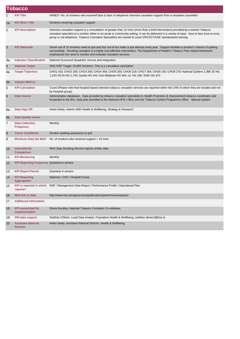|    | <b>Tobacco</b>                                      |                                                                                                                                                                                                                                                                                                                                                                                                           |
|----|-----------------------------------------------------|-----------------------------------------------------------------------------------------------------------------------------------------------------------------------------------------------------------------------------------------------------------------------------------------------------------------------------------------------------------------------------------------------------------|
| 1  | <b>KPI Title</b>                                    | HWB27- No. of smokers who received face to face or telephone intensive cessation support from a cessation counsellor                                                                                                                                                                                                                                                                                      |
| 1a | <b>KPI Short Title</b>                              | Smokers receiving cessation support                                                                                                                                                                                                                                                                                                                                                                       |
| 2  | <b>KPI Description</b>                              | Intensive cessation support is a consultation of greater than 10 mins (more than a brief intervention) provided by a trained *tobacco<br>cessation specialist to a smoker either in an acute or community setting. It can be delivered in a variety of ways - face to face (one-to-one),<br>group or via telephone. Tobacco Cessation Specialists are trained to Level 2/NCSCT/HSE standardised training. |
| 3  | <b>KPI Rationale</b>                                | Seven out of 10 smokers want to quit and four out of ten make a quit attempt every year. Support doubles a smoker's chance of quitting<br>successfully. Smoking cessation is a highly cost effective intervention. The Department of Health's Tobacco Free Ireland framework<br>emphasises the need to monitor and evaluate cessation services.                                                           |
| За | <b>Indicator Classification</b>                     | National Scorecard Quadrant: Access and Integration                                                                                                                                                                                                                                                                                                                                                       |
| 4  | <b>National Target</b>                              | 2021 NSP Target: 10,000 Smokers. This is a cumulative calculation                                                                                                                                                                                                                                                                                                                                         |
| 4a | <b>Target Trajectory</b>                            | CHO1 423; CHO2 200; CHO3 200; CHO4 493; CHO5 250; CHO6 216; CHO7 364; CHO8 150; CHO9 270; National Quitline 2,388; IE HG<br>1,233; RCSI HG 1,743; Saolta HG 443; Dub Midlands HG 564; UL HG 190; SSW HG 873                                                                                                                                                                                               |
| 4b | <b>Volume Metrics</b>                               |                                                                                                                                                                                                                                                                                                                                                                                                           |
| 5  | <b>KPI Calculation</b>                              | Count (Please note that hospital based intensive tobacco cessation services are reported within the CHO in which they are located and not<br>by Hospital group).                                                                                                                                                                                                                                          |
| 6  | <b>Data Source</b>                                  | Adminstrative databases. Data provided by tobacco cessation specialists to Health Promotion & Improvement tobacco coordinator and<br>forwarded to the BIU. Data also provided to the National HP& I office and the Tobacco Control Programme office. Manual system.                                                                                                                                       |
| 6a | Data Sign Off                                       | Helen Deely, Interim AND Health & Wellbeing, Strategy & Research                                                                                                                                                                                                                                                                                                                                          |
| 6b | <b>Data Quality Issues</b>                          |                                                                                                                                                                                                                                                                                                                                                                                                           |
| 7  | <b>Data Collection</b><br><b>Frequency</b>          | Monthly                                                                                                                                                                                                                                                                                                                                                                                                   |
| 8  | <b>Tracer Conditions</b>                            | Smoker seeking assistance to quit                                                                                                                                                                                                                                                                                                                                                                         |
| 9  | <b>Minimum Data Set MDS</b>                         | No. of smokers who received support > 10 mins                                                                                                                                                                                                                                                                                                                                                             |
| 10 | International<br><b>Comparison</b>                  | NHS Stop Smoking Service reports similar data                                                                                                                                                                                                                                                                                                                                                             |
| 11 | <b>KPI Monitoring</b>                               | Monthly                                                                                                                                                                                                                                                                                                                                                                                                   |
| 12 | <b>KPI Reporting Frequency Quarterly in arrears</b> |                                                                                                                                                                                                                                                                                                                                                                                                           |
| 13 | <b>KPI Report Period</b>                            | Quarterly in arrears                                                                                                                                                                                                                                                                                                                                                                                      |
| 14 | <b>KPI Reporting</b><br><b>Aggregation</b>          | National / CHO / Hospital Group                                                                                                                                                                                                                                                                                                                                                                           |
| 15 | reports?                                            | KPI is reported in which  NSP / Management Data Report / Performance Profile / Operational Plan                                                                                                                                                                                                                                                                                                           |
| 16 | Web link to data                                    | http://www.hse.ie/eng/services/publications/performancereports/                                                                                                                                                                                                                                                                                                                                           |
| 17 | <b>Additional Information</b>                       |                                                                                                                                                                                                                                                                                                                                                                                                           |
| 18 | <b>KPI owner/lead for</b><br>implementation         | Elaine Buckley, National Tobacco Cessation Co-ordinator                                                                                                                                                                                                                                                                                                                                                   |
| 19 | <b>PBI data support</b>                             | Siobhán O'Brien, Lead Data Analyst, Population Health & Wellbeing, siobhan.obrien2@hse.ie                                                                                                                                                                                                                                                                                                                 |
| 20 | <b>Assistant National</b><br><b>Director</b>        | Helen Deely, Assistant National Director, Health & Wellbeing                                                                                                                                                                                                                                                                                                                                              |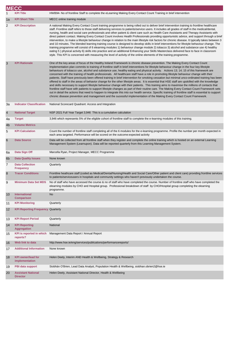|                 | <b>MECC</b>                                  |                                                                                                                                                                                                                                                                                                                                                                                                                                                                                                                                                                                                                                                                                                                                                                                                                                                                                                                                                                                                                                                                                                                                                                                                                                                                                                                                                                                                                                                         |
|-----------------|----------------------------------------------|---------------------------------------------------------------------------------------------------------------------------------------------------------------------------------------------------------------------------------------------------------------------------------------------------------------------------------------------------------------------------------------------------------------------------------------------------------------------------------------------------------------------------------------------------------------------------------------------------------------------------------------------------------------------------------------------------------------------------------------------------------------------------------------------------------------------------------------------------------------------------------------------------------------------------------------------------------------------------------------------------------------------------------------------------------------------------------------------------------------------------------------------------------------------------------------------------------------------------------------------------------------------------------------------------------------------------------------------------------------------------------------------------------------------------------------------------------|
|                 | <b>KPI Title</b>                             | HWB94- No of frontline Staff to complete the eLearning Making Every Contact Count Training in brief intervention                                                                                                                                                                                                                                                                                                                                                                                                                                                                                                                                                                                                                                                                                                                                                                                                                                                                                                                                                                                                                                                                                                                                                                                                                                                                                                                                        |
| 1a              | <b>KPI Short Title</b>                       | MECC online training module                                                                                                                                                                                                                                                                                                                                                                                                                                                                                                                                                                                                                                                                                                                                                                                                                                                                                                                                                                                                                                                                                                                                                                                                                                                                                                                                                                                                                             |
| 2               | <b>KPI Description</b>                       | A national Making Every Contact Count training programme is being rolled out to deliver brief intervention training to frontline healthcare<br>staff. Frontline staff refers to those staff delivering services to patients/service users. It includes all grades of staff in the medical/dental,<br>nursing, health and social care professionals and other patient & client care such as Health Care Assistants and Therapy Assistants with<br>direct patient contact. Making Every Contact Count involves Health Professionals providing opportunistic advice, and support through a brief<br>intervention, to make a lifestyle behaviour change in relation to the main lifestyle risk factors for chronic disease. It typically takes between 3<br>and 10 minutes. The blended learning training course is designed to develop skills in brief interventions for lifestyle behaviour change. The<br>training programme will consist of 6 elearning modules 1) behaviour change module 2) tobacco 3) alcohol and substance use 4) healthy<br>eating 5) physical activity 6) skills into practice and an additional Enhancing your Skills Masterclass delivered face to face in classroom<br>style. This KPI is concerned with measuring the level of activity of the online elements of the training programme.                                                                                                                                     |
| 3               | <b>KPI Rationale</b>                         | One of the key areas of focus of the Healthy Ireland Framework is chronic disease prevention. The Making Every Contact Count<br>Implementation plan commits to training of frontline staff in brief interventions for lifestyle behaviour change in the four key lifestyle<br>behaviours of tobacco use, alcohol and substance use, healthy eating and physical activity. Actions 13; 14; 15 of this framework are<br>concerned with the training of health professionals. All healthcare staff have a role in promoting lifestyle behaviour change with their<br>patients. Staff have previously been offered training in brief intervention for smoking cessation but minimal unco-ordinated training has been<br>offered to staff in the areas of behavior change for the other lifestyle areas. It is essential that HSE staff are upskilled with the knowledge<br>and skills necessary to support lifestyle behaviour change with their patients. This training aims to maximise the millions of contacts that<br>frontline staff have with patients to support lifestyle changes as part of their routine care. The Making Every Contact Count Framework sets<br>out in detail the actions that need to happen to integrate this into our health service. Specific training of frontline staff is essential to support<br>chronic disease prevention and management and the sucessful implementation of the Making Every Contact Count Framework. |
| За              | <b>Indicator Classification</b>              | National Scorecard Quadrant: Access and Integration                                                                                                                                                                                                                                                                                                                                                                                                                                                                                                                                                                                                                                                                                                                                                                                                                                                                                                                                                                                                                                                                                                                                                                                                                                                                                                                                                                                                     |
| $\overline{4}$  | <b>National Target</b>                       | NSP 2021 Full Year Target 3,946 This is a cumulative calculation                                                                                                                                                                                                                                                                                                                                                                                                                                                                                                                                                                                                                                                                                                                                                                                                                                                                                                                                                                                                                                                                                                                                                                                                                                                                                                                                                                                        |
| 4a              | <b>Target</b>                                | 3,946 which represents 5% of the eligible cohort of frontline staff to complete the e-learning modules of this training.                                                                                                                                                                                                                                                                                                                                                                                                                                                                                                                                                                                                                                                                                                                                                                                                                                                                                                                                                                                                                                                                                                                                                                                                                                                                                                                                |
| 4 <sub>b</sub>  | <b>Volume Metrics</b>                        |                                                                                                                                                                                                                                                                                                                                                                                                                                                                                                                                                                                                                                                                                                                                                                                                                                                                                                                                                                                                                                                                                                                                                                                                                                                                                                                                                                                                                                                         |
| 5               | <b>KPI Calculation</b>                       | Count the number of frontline staff completing all of the 6 modules for the e-learning programme. Profile the number per month expected in<br>each area targeted. Performance will be scored on the outcome: expected activity                                                                                                                                                                                                                                                                                                                                                                                                                                                                                                                                                                                                                                                                                                                                                                                                                                                                                                                                                                                                                                                                                                                                                                                                                          |
| $6\phantom{1}6$ | <b>Data Source</b>                           | Data will be collected from all frontline staff when they register and complete the online training which is hosted on an external Learning<br>Management System (Learnupon). Data will be reported quarterly from this Learning Management System.                                                                                                                                                                                                                                                                                                                                                                                                                                                                                                                                                                                                                                                                                                                                                                                                                                                                                                                                                                                                                                                                                                                                                                                                     |
| 6a              | Data Sign Off                                | Marcella Ryan, Project Manager, MECC Programme                                                                                                                                                                                                                                                                                                                                                                                                                                                                                                                                                                                                                                                                                                                                                                                                                                                                                                                                                                                                                                                                                                                                                                                                                                                                                                                                                                                                          |
| 6 <sub>b</sub>  | <b>Data Quality Issues</b>                   | None known                                                                                                                                                                                                                                                                                                                                                                                                                                                                                                                                                                                                                                                                                                                                                                                                                                                                                                                                                                                                                                                                                                                                                                                                                                                                                                                                                                                                                                              |
| 7               | <b>Data Collection</b><br><b>Frequency</b>   | Quarterly                                                                                                                                                                                                                                                                                                                                                                                                                                                                                                                                                                                                                                                                                                                                                                                                                                                                                                                                                                                                                                                                                                                                                                                                                                                                                                                                                                                                                                               |
| 8               | <b>Tracer Conditions</b>                     | Frontline heathcare staff (coded as Medical/Dental/Nursing/Health and Social Care/Other patient and client care) providing frontline services<br>to patients/serviceusers in hospitals and community settings who haven't previously undertaken the course.                                                                                                                                                                                                                                                                                                                                                                                                                                                                                                                                                                                                                                                                                                                                                                                                                                                                                                                                                                                                                                                                                                                                                                                             |
| 9               | <b>Minimum Data Set MDS</b>                  | No of staff who have accessed the course & no of staff who have completed the course. Number of frontline staff who have completed the<br>elearning modules by CHO and Hospital group. Professional breakdown of staff by CHO/Hospital group completing the elearning<br>programme.                                                                                                                                                                                                                                                                                                                                                                                                                                                                                                                                                                                                                                                                                                                                                                                                                                                                                                                                                                                                                                                                                                                                                                     |
| 10              | <b>International</b><br><b>Comparison</b>    | <b>No</b>                                                                                                                                                                                                                                                                                                                                                                                                                                                                                                                                                                                                                                                                                                                                                                                                                                                                                                                                                                                                                                                                                                                                                                                                                                                                                                                                                                                                                                               |
| 11              | <b>KPI Monitoring</b>                        | Quarterly                                                                                                                                                                                                                                                                                                                                                                                                                                                                                                                                                                                                                                                                                                                                                                                                                                                                                                                                                                                                                                                                                                                                                                                                                                                                                                                                                                                                                                               |
| 12              | <b>KPI Reporting Frequency Quarterly</b>     |                                                                                                                                                                                                                                                                                                                                                                                                                                                                                                                                                                                                                                                                                                                                                                                                                                                                                                                                                                                                                                                                                                                                                                                                                                                                                                                                                                                                                                                         |
| 13              | <b>KPI Report Period</b>                     | Quarterly                                                                                                                                                                                                                                                                                                                                                                                                                                                                                                                                                                                                                                                                                                                                                                                                                                                                                                                                                                                                                                                                                                                                                                                                                                                                                                                                                                                                                                               |
| 14              | <b>KPI Reporting</b><br><b>Aggregation</b>   | National                                                                                                                                                                                                                                                                                                                                                                                                                                                                                                                                                                                                                                                                                                                                                                                                                                                                                                                                                                                                                                                                                                                                                                                                                                                                                                                                                                                                                                                |
| 15              | <b>KPI</b> is reported in which<br>reports?  | Management Data Report / Annual Report                                                                                                                                                                                                                                                                                                                                                                                                                                                                                                                                                                                                                                                                                                                                                                                                                                                                                                                                                                                                                                                                                                                                                                                                                                                                                                                                                                                                                  |
| 16              | Web link to data                             | http://www.hse.ie/eng/services/publications/performancereports/                                                                                                                                                                                                                                                                                                                                                                                                                                                                                                                                                                                                                                                                                                                                                                                                                                                                                                                                                                                                                                                                                                                                                                                                                                                                                                                                                                                         |
| 17              | <b>Additional Information</b>                | None known                                                                                                                                                                                                                                                                                                                                                                                                                                                                                                                                                                                                                                                                                                                                                                                                                                                                                                                                                                                                                                                                                                                                                                                                                                                                                                                                                                                                                                              |
| 18              | <b>KPI owner/lead for</b><br>implementation  | Helen Deely, Interim AND Health & Wellbeing, Strategy & Research                                                                                                                                                                                                                                                                                                                                                                                                                                                                                                                                                                                                                                                                                                                                                                                                                                                                                                                                                                                                                                                                                                                                                                                                                                                                                                                                                                                        |
| 19              | PBI data support                             | Siobhán O'Brien, Lead Data Analyst, Population Health & Wellbeing, siobhan.obrien2@hse.ie                                                                                                                                                                                                                                                                                                                                                                                                                                                                                                                                                                                                                                                                                                                                                                                                                                                                                                                                                                                                                                                                                                                                                                                                                                                                                                                                                               |
| 20              | <b>Assistant National</b><br><b>Director</b> | Helen Deely, Assistant National Director, Health & Wellbeing                                                                                                                                                                                                                                                                                                                                                                                                                                                                                                                                                                                                                                                                                                                                                                                                                                                                                                                                                                                                                                                                                                                                                                                                                                                                                                                                                                                            |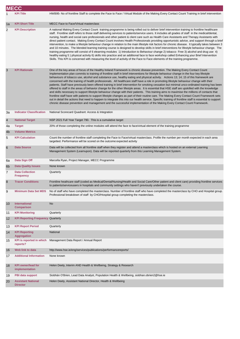|                | <b>MECC</b>                                  |                                                                                                                                                                                                                                                                                                                                                                                                                                                                                                                                                                                                                                                                                                                                                                                                                                                                                                                                                                                                                                                                                                                                                                                                                                                                                                                                                                                                                                                          |
|----------------|----------------------------------------------|----------------------------------------------------------------------------------------------------------------------------------------------------------------------------------------------------------------------------------------------------------------------------------------------------------------------------------------------------------------------------------------------------------------------------------------------------------------------------------------------------------------------------------------------------------------------------------------------------------------------------------------------------------------------------------------------------------------------------------------------------------------------------------------------------------------------------------------------------------------------------------------------------------------------------------------------------------------------------------------------------------------------------------------------------------------------------------------------------------------------------------------------------------------------------------------------------------------------------------------------------------------------------------------------------------------------------------------------------------------------------------------------------------------------------------------------------------|
|                | <b>KPI Title</b>                             | HWB95- No of frontline Staff to complete the Face to Face / Virtual Module of the Making Every Contact Count Training in brief intervention                                                                                                                                                                                                                                                                                                                                                                                                                                                                                                                                                                                                                                                                                                                                                                                                                                                                                                                                                                                                                                                                                                                                                                                                                                                                                                              |
| 1a             | <b>KPI Short Title</b>                       | MECC Face to Face/Virtual masterclass                                                                                                                                                                                                                                                                                                                                                                                                                                                                                                                                                                                                                                                                                                                                                                                                                                                                                                                                                                                                                                                                                                                                                                                                                                                                                                                                                                                                                    |
| 2              | <b>KPI Description</b>                       | A national Making Every Contact Count training programme is being rolled out to deliver brief intervention training to frontline healthcare<br>staff. Frontline staff refers to those staff delivering services to patients/service users. It includes all grades of staff in the medical/dental,<br>nursing, health and social care professionals and other patient & client care such as Health Care Assistants and Therapy Assistants with<br>direct patient contact. Making Every Contact Count involves Health Professionals providing opportunistic advice, and support through a brief<br>intervention, to make a lifestyle behaviour change in relation to the main lifestyle risk factors for chronic disease. It typically takes between 3<br>and 10 minutes. The blended learning training course is designed to develop skills in brief interventions for lifestyle behaviour change. The<br>training programme will consist of 6 elearning modules 1) Introduction to Behaviour change 2) tobacco Free 3) alcohol and drug use 4)<br>healthy eating 5) physical activity 6) skills into practice and an additional face to face workshop called Enhancing your Brief Intervention<br>Skills. This KPI is concerned with measuring the level of activity of the Face to Face elements of the training programme.                                                                                                                             |
| 3              | <b>KPI Rationale</b>                         | One of the key areas of focus of the Healthy Ireland Framework is chronic disease prevention. The Making Every Contact Count<br>Implementation plan commits to training of frontline staff in brief interventions for lifestyle behaviour change in the four key lifestyle<br>behaviours of tobacco use, alcohol and substance use, healthy eating and physical activity. Actions 13; 14; 15 of this framework are<br>concerned with the training of health professionals. All healthcare staff have a role in promoting lifestyle behaviour change with their<br>patients. Staff have previously been offered training in brief intervention for smoking cessation but minimal unco-ordinated training has been<br>offered to staff in the areas of behavior change for the other lifestyle areas. It is essential that HSE staff are upskilled with the knowledge<br>and skills necessary to support lifestyle behaviour change with their patients. This training aims to maximise the millions of contacts that<br>frontline staff have with patients to support lifestyle changes as part of their routine care. The Making Every Contact Count Framework sets<br>out in detail the actions that need to happen to integrate this into our health service. Specific training of frontline staff is essential to support<br>chronic disease prevention and management and the successful implementation of the Making Every Contact Count Framework. |
| За             | <b>Indicator Classification</b>              | National Scorecard Quadrant: Access & Integration                                                                                                                                                                                                                                                                                                                                                                                                                                                                                                                                                                                                                                                                                                                                                                                                                                                                                                                                                                                                                                                                                                                                                                                                                                                                                                                                                                                                        |
| $\overline{4}$ | <b>National Target</b>                       | NSP 2021 Full Year Target 790. This is a cumulative target                                                                                                                                                                                                                                                                                                                                                                                                                                                                                                                                                                                                                                                                                                                                                                                                                                                                                                                                                                                                                                                                                                                                                                                                                                                                                                                                                                                               |
| 4a             | <b>Target</b>                                | 20% of those completing the online modules will attend the face to face/virtual element of the training programme                                                                                                                                                                                                                                                                                                                                                                                                                                                                                                                                                                                                                                                                                                                                                                                                                                                                                                                                                                                                                                                                                                                                                                                                                                                                                                                                        |
| 4b             | <b>Volume Metrics</b>                        |                                                                                                                                                                                                                                                                                                                                                                                                                                                                                                                                                                                                                                                                                                                                                                                                                                                                                                                                                                                                                                                                                                                                                                                                                                                                                                                                                                                                                                                          |
| 5              | <b>KPI Calculation</b>                       | Count the number of frontline staff completing the Face to Face/virtual masterclass. Profile the number per month expected in each area<br>targetted. Performance will be scored on the outcome: expected activity                                                                                                                                                                                                                                                                                                                                                                                                                                                                                                                                                                                                                                                                                                                                                                                                                                                                                                                                                                                                                                                                                                                                                                                                                                       |
| 6              | <b>Data Source</b>                           | Data will be collected from all frontline staff when they register and attend a masterclass which is hosted on an external Learning<br>Management System (Learnupon). Data will be reported quarterly from this Learning Management System.                                                                                                                                                                                                                                                                                                                                                                                                                                                                                                                                                                                                                                                                                                                                                                                                                                                                                                                                                                                                                                                                                                                                                                                                              |
| 6a             | Data Sign Off                                | Marcella Ryan, Project Manager, MECC Programme                                                                                                                                                                                                                                                                                                                                                                                                                                                                                                                                                                                                                                                                                                                                                                                                                                                                                                                                                                                                                                                                                                                                                                                                                                                                                                                                                                                                           |
| 6 <sub>b</sub> | <b>Data Quality Issues</b>                   | None known                                                                                                                                                                                                                                                                                                                                                                                                                                                                                                                                                                                                                                                                                                                                                                                                                                                                                                                                                                                                                                                                                                                                                                                                                                                                                                                                                                                                                                               |
| 7              | <b>Data Collection</b><br><b>Frequency</b>   | Quarterly                                                                                                                                                                                                                                                                                                                                                                                                                                                                                                                                                                                                                                                                                                                                                                                                                                                                                                                                                                                                                                                                                                                                                                                                                                                                                                                                                                                                                                                |
| 8              | <b>Tracer Conditions</b>                     | Frontline heathcare staff (coded as Medical/Dental/Nursing/Health and Social Care/Other patient and client care) providing frontline services<br>to patients/serviceusers in hospitals and community settings who haven't previously undertaken the course.                                                                                                                                                                                                                                                                                                                                                                                                                                                                                                                                                                                                                                                                                                                                                                                                                                                                                                                                                                                                                                                                                                                                                                                              |
| 9              | <b>Minimum Data Set MDS</b>                  | No of staff who have completed the masterclass. Number of frontline staff who have completed the masterclass by CHO and Hospital group.<br>Professional breakdown of staff by CHO/Hospital group completing the masterclass.                                                                                                                                                                                                                                                                                                                                                                                                                                                                                                                                                                                                                                                                                                                                                                                                                                                                                                                                                                                                                                                                                                                                                                                                                             |
| 10             | <b>International</b><br><b>Comparison</b>    | No                                                                                                                                                                                                                                                                                                                                                                                                                                                                                                                                                                                                                                                                                                                                                                                                                                                                                                                                                                                                                                                                                                                                                                                                                                                                                                                                                                                                                                                       |
| 11             | <b>KPI Monitoring</b>                        | Quarterly                                                                                                                                                                                                                                                                                                                                                                                                                                                                                                                                                                                                                                                                                                                                                                                                                                                                                                                                                                                                                                                                                                                                                                                                                                                                                                                                                                                                                                                |
| 12             | <b>KPI Reporting Frequency Quarterly</b>     |                                                                                                                                                                                                                                                                                                                                                                                                                                                                                                                                                                                                                                                                                                                                                                                                                                                                                                                                                                                                                                                                                                                                                                                                                                                                                                                                                                                                                                                          |
| 13             | <b>KPI Report Period</b>                     | Quarterly                                                                                                                                                                                                                                                                                                                                                                                                                                                                                                                                                                                                                                                                                                                                                                                                                                                                                                                                                                                                                                                                                                                                                                                                                                                                                                                                                                                                                                                |
| 14             | <b>KPI Reporting</b><br><b>Aggregation</b>   | National                                                                                                                                                                                                                                                                                                                                                                                                                                                                                                                                                                                                                                                                                                                                                                                                                                                                                                                                                                                                                                                                                                                                                                                                                                                                                                                                                                                                                                                 |
| 15             | <b>KPI</b> is reported in which<br>reports?  | Management Data Report / Annual Report                                                                                                                                                                                                                                                                                                                                                                                                                                                                                                                                                                                                                                                                                                                                                                                                                                                                                                                                                                                                                                                                                                                                                                                                                                                                                                                                                                                                                   |
| 16             | Web link to data                             | http://www.hse.ie/eng/services/publications/performancereports/                                                                                                                                                                                                                                                                                                                                                                                                                                                                                                                                                                                                                                                                                                                                                                                                                                                                                                                                                                                                                                                                                                                                                                                                                                                                                                                                                                                          |
| 17             | <b>Additional Information</b>                | None known                                                                                                                                                                                                                                                                                                                                                                                                                                                                                                                                                                                                                                                                                                                                                                                                                                                                                                                                                                                                                                                                                                                                                                                                                                                                                                                                                                                                                                               |
| 18             | <b>KPI owner/lead for</b><br>implementation  | Helen Deely, Interim AND Health & Wellbeing, Strategy & Research                                                                                                                                                                                                                                                                                                                                                                                                                                                                                                                                                                                                                                                                                                                                                                                                                                                                                                                                                                                                                                                                                                                                                                                                                                                                                                                                                                                         |
| 19             | PBI data support                             | Siobhán O'Brien, Lead Data Analyst, Population Health & Wellbeing, siobhan.obrien2@hse.ie                                                                                                                                                                                                                                                                                                                                                                                                                                                                                                                                                                                                                                                                                                                                                                                                                                                                                                                                                                                                                                                                                                                                                                                                                                                                                                                                                                |
| 20             | <b>Assistant National</b><br><b>Director</b> | Helen Deely, Assistant National Director, Health & Wellbeing                                                                                                                                                                                                                                                                                                                                                                                                                                                                                                                                                                                                                                                                                                                                                                                                                                                                                                                                                                                                                                                                                                                                                                                                                                                                                                                                                                                             |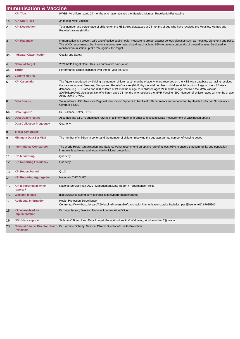|                | <b>Immunisation &amp; Vaccine</b>           |                                                                                                                                                                                                                                                                                                                                                                                                                                                                                                                                                                        |
|----------------|---------------------------------------------|------------------------------------------------------------------------------------------------------------------------------------------------------------------------------------------------------------------------------------------------------------------------------------------------------------------------------------------------------------------------------------------------------------------------------------------------------------------------------------------------------------------------------------------------------------------------|
| $\mathbf{1}$   | <b>KPI Title</b>                            | HWB8- % children aged 24 months who have received the Measles, Mumps, Rubella (MMR) vaccine                                                                                                                                                                                                                                                                                                                                                                                                                                                                            |
| 1a             | <b>KPI Short Title</b>                      | 24 month MMR vaccine                                                                                                                                                                                                                                                                                                                                                                                                                                                                                                                                                   |
| 2              | <b>KPI Description</b>                      | Total number and percentage of children on the HSE Area databases at 24 months of age who have received the Measles, Mumps and<br>Rubella Vaccine (MMR).                                                                                                                                                                                                                                                                                                                                                                                                               |
| 3              | <b>KPI Rationale</b>                        | Immunisation is a proven, safe and effective public health measure to protect against serious diseases such as measles, diphtheria and polio.<br>The WHO recommends that immunisation uptake rates should reach at least 95% to prevent outbreaks of these diseases. Designed to<br>monitor immunisation uptake rate against the target.                                                                                                                                                                                                                               |
| За             | <b>Indicator Classification</b>             | <b>Quality and Safety</b>                                                                                                                                                                                                                                                                                                                                                                                                                                                                                                                                              |
| 4              | <b>National Target</b>                      | 2021 NSP Target: 95%. This is a cumulative calculation                                                                                                                                                                                                                                                                                                                                                                                                                                                                                                                 |
| 4a             | <b>Target</b>                               | Performance targets constant over the full year i.e, 95%                                                                                                                                                                                                                                                                                                                                                                                                                                                                                                               |
| 4b             | <b>Volume Metrics</b>                       |                                                                                                                                                                                                                                                                                                                                                                                                                                                                                                                                                                        |
| 5              | <b>KPI Calculation</b>                      | The figure is produced by dividing the number children at 24 months of age who are recorded on the HSE Area database as having received<br>the vaccine against Measles, Mumps and Rubella Vaccine (MMR) by the total number of children at 24 months of age on the HSE Area<br>database.(e.g. LHO area had 368 children at 24 months of age, 290 children aged 24 months of age received the MMR vaccine<br>290/368x100%)Calculation: No. of children aged 24 months who received the MMR Vaccine (290 Number of children aged 24 months of age<br>$(368)$ x100% = 79% |
| 6              | <b>Data Source</b>                          | Sourced from HSE Areas via Regional Vaccination System/ Public Health Departments and reported on by Health Protection Surveillance<br>Centre (HPSC).                                                                                                                                                                                                                                                                                                                                                                                                                  |
| 6а             | Data Sign Off                               | Dr. Suzanne Cotter, HPSC                                                                                                                                                                                                                                                                                                                                                                                                                                                                                                                                               |
| 6 <sub>b</sub> | <b>Data Quality Issues</b>                  | Assumes that all GPs submitted returns in a timely manner in order to reflect accurate measurement of vaccination uptake                                                                                                                                                                                                                                                                                                                                                                                                                                               |
| 7              | <b>Data Collection Frequency</b>            | Quarterly                                                                                                                                                                                                                                                                                                                                                                                                                                                                                                                                                              |
| 8              | <b>Tracer Conditions</b>                    |                                                                                                                                                                                                                                                                                                                                                                                                                                                                                                                                                                        |
| 9              | <b>Minimum Data Set MDS</b>                 | The number of children in cohort and the number of children receiving the age appropriate number of vaccine doses                                                                                                                                                                                                                                                                                                                                                                                                                                                      |
| 10             | <b>International Comparison</b>             | The World Health Organisation and National Policy recommend an uptake rate of at least 95% to ensure that community and population<br>immunity is achieved and to provide individual protection.                                                                                                                                                                                                                                                                                                                                                                       |
| 11             | <b>KPI Monitoring</b>                       | Quarterly                                                                                                                                                                                                                                                                                                                                                                                                                                                                                                                                                              |
| 12             | <b>KPI Reporting Frequency</b>              | Quarterly                                                                                                                                                                                                                                                                                                                                                                                                                                                                                                                                                              |
| 13             | <b>KPI Report Period</b>                    | $Q-1Q$                                                                                                                                                                                                                                                                                                                                                                                                                                                                                                                                                                 |
| 14             | <b>KPI Reporting Aggregation</b>            | National / CHO / LHO                                                                                                                                                                                                                                                                                                                                                                                                                                                                                                                                                   |
|                | 15 KPI is reported in which<br>reports?     | National Service Plan 2021 / Management Data Report / Performance Profile                                                                                                                                                                                                                                                                                                                                                                                                                                                                                              |
| 16             | Web link to data                            | http://www.hse.ie/eng/services/publications/performancereports/                                                                                                                                                                                                                                                                                                                                                                                                                                                                                                        |
| 17             | <b>Additional Information</b>               | <b>Health Protection Surveillance</b><br>Centrehttp://www.hpsc.ie/hpsc/AZ/VaccinePreventable/Vaccination/ImmunisationUptakeStatisticshpsc@hse.ie (01) 87635300                                                                                                                                                                                                                                                                                                                                                                                                         |
| 18             | <b>KPI</b> owner/lead for<br>implementation | Dr. Lucy Jessop, Director, National Immunisation Office.                                                                                                                                                                                                                                                                                                                                                                                                                                                                                                               |
| 19             | <b>NBIU data support</b>                    | Siobhán O'Brien, Lead Data Analyst, Population Health & Wellbeing, siobhan.obrien2@hse.ie                                                                                                                                                                                                                                                                                                                                                                                                                                                                              |
| 20             | <b>Protection</b>                           | National Clinical Director Health Dr. Lorraine Doherty, National Clinical Director of Health Protection                                                                                                                                                                                                                                                                                                                                                                                                                                                                |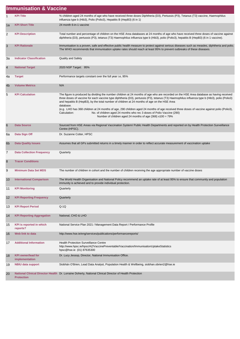|                | <b>Immunisation &amp; Vaccine</b>           |                                                                                                                                                                                                                                                                                                                                                                                                                                                                                                                                                                                                                                                                                                            |
|----------------|---------------------------------------------|------------------------------------------------------------------------------------------------------------------------------------------------------------------------------------------------------------------------------------------------------------------------------------------------------------------------------------------------------------------------------------------------------------------------------------------------------------------------------------------------------------------------------------------------------------------------------------------------------------------------------------------------------------------------------------------------------------|
| $\mathbf{1}$   | <b>KPI Title</b>                            | % children aged 24 months of age who have received three doses Diphtheria (D3), Pertussis (P3), Tetanus (T3) vaccine, Haemophilus<br>influenza type b (Hib3), Polio (Polio3), Hepatitis B (HepB3) (6 in 1)                                                                                                                                                                                                                                                                                                                                                                                                                                                                                                 |
| 1a             | <b>KPI Short Title</b>                      | 24 month 6-in-1 vaccine                                                                                                                                                                                                                                                                                                                                                                                                                                                                                                                                                                                                                                                                                    |
| $\overline{2}$ | <b>KPI Description</b>                      | Total number and percentage of children on the HSE Area databases at 24 months of age who have received three doses of vaccine against<br>diphtheria (D3), pertussis (P3), tetanus (T3) Haemophilus influenza type b (Hib3), polio (Polio3), hepatitis B (HepB3) (6 in 1 vaccine).                                                                                                                                                                                                                                                                                                                                                                                                                         |
| 3              | <b>KPI Rationale</b>                        | Immunisation is a proven, safe and effective public health measure to protect against serious diseases such as measles, diphtheria and polio.<br>The WHO recommends that immunisation uptake rates should reach at least 95% to prevent outbreaks of these diseases.                                                                                                                                                                                                                                                                                                                                                                                                                                       |
| За             | <b>Indicator Classification</b>             | <b>Quality and Safety</b>                                                                                                                                                                                                                                                                                                                                                                                                                                                                                                                                                                                                                                                                                  |
| $\overline{4}$ | <b>National Target</b>                      | 2020 NSP Target: 95%                                                                                                                                                                                                                                                                                                                                                                                                                                                                                                                                                                                                                                                                                       |
| 4a             | <b>Target</b>                               | Performance targets constant over the full year i.e, 95%                                                                                                                                                                                                                                                                                                                                                                                                                                                                                                                                                                                                                                                   |
| 4 <sub>b</sub> | <b>Volume Metrics</b>                       | N/A                                                                                                                                                                                                                                                                                                                                                                                                                                                                                                                                                                                                                                                                                                        |
| 5              | <b>KPI Calculation</b>                      | The figure is produced by dividing the number children at 24 months of age who are recorded on the HSE Area database as having received<br>three doses of vaccine for each vaccine type diphtheria (D3), pertussis (P3), tetanus (T3) Haemophilus influenza type b (Hib3), polio (Polio3)<br>and hepatitis B (HepB3), by the total number of children at 24 months of age on the HSE Area<br>database.<br>(e.g. LHO has 368 children at 24 months of age, 290 children aged 24 months of age received three doses of vaccine against polio (Polio3),<br>Calculation:<br>No. of children aged 24 months who rec 3 doses of Polio Vaccine (290)<br>Number of children aged 24 months of age (368) x100 = 79% |
| 6              | <b>Data Source</b>                          | Sourced from HSE Areas via Regional Vaccination System/ Public Health Departments and reported on by Health Protection Surveillance<br>Centre (HPSC).                                                                                                                                                                                                                                                                                                                                                                                                                                                                                                                                                      |
| 6a             | Data Sign Off                               | Dr. Suzanne Cotter, HPSC                                                                                                                                                                                                                                                                                                                                                                                                                                                                                                                                                                                                                                                                                   |
| 6 <sub>b</sub> | <b>Data Quality Issues</b>                  | Assumes that all GPs submitted returns in a timely manner in order to reflect accurate measurement of vaccination uptake                                                                                                                                                                                                                                                                                                                                                                                                                                                                                                                                                                                   |
| 7              | <b>Data Collection Frequency</b>            | Quarterly                                                                                                                                                                                                                                                                                                                                                                                                                                                                                                                                                                                                                                                                                                  |
| 8              | <b>Tracer Conditions</b>                    |                                                                                                                                                                                                                                                                                                                                                                                                                                                                                                                                                                                                                                                                                                            |
| 9              | <b>Minimum Data Set MDS</b>                 | The number of children in cohort and the number of children receiving the age appropriate number of vaccine doses                                                                                                                                                                                                                                                                                                                                                                                                                                                                                                                                                                                          |
| 10             | <b>International Comparison</b>             | The World Health Organisation and National Policy recommend an uptake rate of at least 95% to ensure that community and population<br>immunity is achieved and to provide individual protection.                                                                                                                                                                                                                                                                                                                                                                                                                                                                                                           |
| 11             | <b>KPI Monitoring</b>                       | Quarterly                                                                                                                                                                                                                                                                                                                                                                                                                                                                                                                                                                                                                                                                                                  |
| 12             | <b>KPI Reporting Frequency</b>              | Quarterly                                                                                                                                                                                                                                                                                                                                                                                                                                                                                                                                                                                                                                                                                                  |
| 13             | <b>KPI Report Period</b>                    | $Q-1Q$                                                                                                                                                                                                                                                                                                                                                                                                                                                                                                                                                                                                                                                                                                     |
| 14             | <b>KPI Reporting Aggregation</b>            | National, CHO & LHO                                                                                                                                                                                                                                                                                                                                                                                                                                                                                                                                                                                                                                                                                        |
| 15             | <b>KPI</b> is reported in which<br>reports? | National Service Plan 2021 / Management Data Report / Performance Profile                                                                                                                                                                                                                                                                                                                                                                                                                                                                                                                                                                                                                                  |
| 16             | Web link to data                            | http://www.hse.ie/eng/services/publications/performancereports/                                                                                                                                                                                                                                                                                                                                                                                                                                                                                                                                                                                                                                            |
| 17             | <b>Additional Information</b>               | <b>Health Protection Surveillance Centre</b><br>http://www.hpsc.ie/hpsc/AZ/VaccinePreventable/Vaccination/ImmunisationUptakeStatistics<br>hpsc@hse.ie (01) 87635300                                                                                                                                                                                                                                                                                                                                                                                                                                                                                                                                        |
| 18             | <b>KPI owner/lead for</b><br>implementation | Dr. Lucy Jessop, Director, National Immunisation Office.                                                                                                                                                                                                                                                                                                                                                                                                                                                                                                                                                                                                                                                   |
| 19             | <b>NBIU data support</b>                    | Siobhán O'Brien, Lead Data Analyst, Population Health & Wellbeing, siobhan.obrien2@hse.ie                                                                                                                                                                                                                                                                                                                                                                                                                                                                                                                                                                                                                  |
| 20             | <b>Protection</b>                           | National Clinical Director Health Dr. Lorraine Doherty, National Clinical Director of Health Protection                                                                                                                                                                                                                                                                                                                                                                                                                                                                                                                                                                                                    |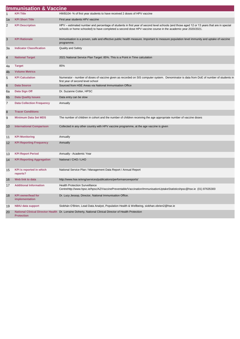|                | <b>Immunisation &amp; Vaccine</b>           |                                                                                                                                                                                                                                                            |
|----------------|---------------------------------------------|------------------------------------------------------------------------------------------------------------------------------------------------------------------------------------------------------------------------------------------------------------|
| 1              | <b>KPI Title</b>                            | HWB104-% of first year students to have received 2 doses of HPV vaccine                                                                                                                                                                                    |
| 1a             | <b>KPI Short Title</b>                      | First year students HPV vaccine                                                                                                                                                                                                                            |
| $\overline{c}$ | <b>KPI Description</b>                      | HPV - estimated number and percentage of students in first year of second level schools (and those aged 12 or 13 years that are in special<br>schools or home schooled) to have completed a second dose HPV vaccine course in the academic year 2020/2021. |
| 3              | <b>KPI Rationale</b>                        | Immunisation is a proven, safe and effective public health measure. Important to measure population level immunity and uptake of vaccine<br>programme.                                                                                                     |
| За             | <b>Indicator Classification</b>             | <b>Quality and Safety</b>                                                                                                                                                                                                                                  |
| 4              | <b>National Target</b>                      | 2021 National Service Plan Target: 85%. This is a Point in Time calculation                                                                                                                                                                                |
| 4a             | <b>Target</b>                               | 85%                                                                                                                                                                                                                                                        |
| 4b             | <b>Volume Metrics</b>                       |                                                                                                                                                                                                                                                            |
| 5              | <b>KPI Calculation</b>                      | Numerator - number of doses of vaccine given as recorded on SIS computer system. Denominator is data from DoE of number of students in<br>first year of second level school                                                                                |
| 6              | <b>Data Source</b>                          | Sourced from HSE Areas via National Immunisation Office                                                                                                                                                                                                    |
| 6a             | Data Sign Off                               | Dr. Suzanne Cotter, HPSC                                                                                                                                                                                                                                   |
| 6 <sub>b</sub> | <b>Data Quality Issues</b>                  | Data entry can be slow                                                                                                                                                                                                                                     |
| 7              | <b>Data Collection Frequency</b>            | Annually                                                                                                                                                                                                                                                   |
| 8              | <b>Tracer Conditions</b>                    |                                                                                                                                                                                                                                                            |
| 9              | <b>Minimum Data Set MDS</b>                 | The number of children in cohort and the number of children receiving the age appropriate number of vaccine doses                                                                                                                                          |
| 10             | <b>International Comparison</b>             | Collected in any other country with HPV vaccine programme, at the age vaccine is given                                                                                                                                                                     |
| 11             | <b>KPI Monitoring</b>                       | Annually                                                                                                                                                                                                                                                   |
| 12             | <b>KPI Reporting Frequency</b>              | Annually                                                                                                                                                                                                                                                   |
| 13             | <b>KPI Report Period</b>                    | Annually - Academic Year                                                                                                                                                                                                                                   |
| 14             | <b>KPI Reporting Aggregation</b>            | National / CHO / LHO                                                                                                                                                                                                                                       |
| 15             | <b>KPI</b> is reported in which<br>reports? | National Service Plan / Management Data Report / Annual Report                                                                                                                                                                                             |
| 16             | Web link to data                            | http://www.hse.ie/eng/services/publications/performancereports/                                                                                                                                                                                            |
| 17             | <b>Additional Information</b>               | <b>Health Protection Surveillance</b><br>Centrehttp://www.hpsc.ie/hpsc/AZ/VaccinePreventable/Vaccination/ImmunisationUptakeStatisticshpsc@hse.ie (01) 87635300                                                                                             |
| 18             | <b>KPI owner/lead for</b><br>implementation | Dr. Lucy Jessop, Director, National Immunisation Office.                                                                                                                                                                                                   |
| 19             | <b>NBIU data support</b>                    | Siobhán O'Brien, Lead Data Analyst, Population Health & Wellbeing, siobhan.obrien2@hse.ie                                                                                                                                                                  |
| 20             | <b>Protection</b>                           | National Clinical Director Health Dr. Lorraine Doherty, National Clinical Director of Health Protection                                                                                                                                                    |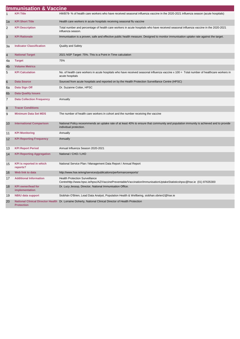|                | <b>Immunisation &amp; Vaccine</b>           |                                                                                                                                                                  |
|----------------|---------------------------------------------|------------------------------------------------------------------------------------------------------------------------------------------------------------------|
| 1              | <b>KPI Title</b>                            | HWB79-% of health care workers who have received seasonal influenza vaccine in the 2020-2021 influenza season (acute hospitals)                                  |
| 1a             | <b>KPI Short Title</b>                      | Health care workers in acute hospitals receiving seasonal flu vaccine                                                                                            |
| 2              | <b>KPI Description</b>                      | Total number and percentage of health care workers in acute hospitals who have received seasonal influenza vaccine in the 2020-2021<br>influenza season.         |
| 3              | <b>KPI Rationale</b>                        | Immunisation is a proven, safe and effective public health measure. Designed to monitor immunisation uptake rate against the target.                             |
| За             | <b>Indicator Classification</b>             | <b>Quality and Safety</b>                                                                                                                                        |
| 4              | <b>National Target</b>                      | 2021 NSP Target: 75%. This is a Point in Time calculation                                                                                                        |
| 4a             | <b>Target</b>                               | 75%                                                                                                                                                              |
| 4 <sub>b</sub> | <b>Volume Metrics</b>                       |                                                                                                                                                                  |
| 5              | <b>KPI Calculation</b>                      | No. of health care workers in acute hospitals who have received seasonal influenza vaccine x 100 = Total number of healthcare workers in<br>acute hospitals      |
| $6\phantom{1}$ | <b>Data Source</b>                          | Sourced from acute hospitals and reported on by the Health Protection Surveillance Centre (HPSC)                                                                 |
| 6a             | Data Sign Off                               | Dr. Suzanne Cotter, HPSC                                                                                                                                         |
| 6 <sub>b</sub> | <b>Data Quality Issues</b>                  |                                                                                                                                                                  |
| 7              | <b>Data Collection Frequency</b>            | Annually                                                                                                                                                         |
| 8              | <b>Tracer Conditions</b>                    |                                                                                                                                                                  |
| 9              | <b>Minimum Data Set MDS</b>                 | The number of health care workers in cohort and the number receiving the vaccine                                                                                 |
| 10             | <b>International Comparison</b>             | National Policy receommends an uptake rate of at least 40% to ensure that community and population immunity is achieved and to provide<br>individual protection. |
| 11             | <b>KPI Monitoring</b>                       | Annually                                                                                                                                                         |
| 12             | <b>KPI Reporting Frequency</b>              | Annually                                                                                                                                                         |
| 13             | <b>KPI Report Period</b>                    | Annual Influenza Season 2020-2021                                                                                                                                |
| 14             | <b>KPI Reporting Aggregation</b>            | National / CHO / LHO                                                                                                                                             |
| 15             | <b>KPI</b> is reported in which<br>reports? | National Service Plan / Management Data Report / Annual Report                                                                                                   |
| 16             | Web link to data                            | http://www.hse.ie/eng/services/publications/performancereports/                                                                                                  |
| 17             | <b>Additional Information</b>               | <b>Health Protection Surveillance</b><br>Centrehttp://www.hpsc.ie/hpsc/AZ/VaccinePreventable/Vaccination/ImmunisationUptakeStatisticshpsc@hse.ie (01) 87635300   |
| 18             | <b>KPI owner/lead for</b><br>implementation | Dr. Lucy Jessop, Director, National Immunisation Office.                                                                                                         |
| 19             | <b>NBIU data support</b>                    | Siobhán O'Brien, Lead Data Analyst, Population Health & Wellbeing, siobhan.obrien2@hse.ie                                                                        |
| 20             | <b>Protection</b>                           | National Clinical Director Health Dr. Lorraine Doherty, National Clinical Director of Health Protection                                                          |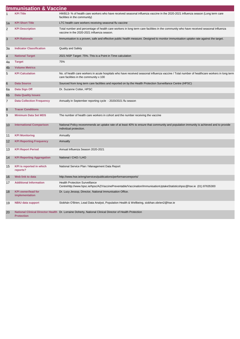|                | <b>Immunisation &amp; Vaccine</b>           |                                                                                                                                                                                        |
|----------------|---------------------------------------------|----------------------------------------------------------------------------------------------------------------------------------------------------------------------------------------|
| $\mathbf{1}$   | <b>KPI Title</b>                            | HWB13- % of health care workers who have received seasonal influenza vaccine in the 2020-2021 influenza season (Long term care<br>facilities in the community)                         |
| 1a             | <b>KPI Short Title</b>                      | LTC health care workers receiving seasonal flu vaccine                                                                                                                                 |
| 2              | <b>KPI Description</b>                      | Total number and percentage of health care workers in long term care facilities in the community who have received seasonal influenza<br>vaccine in the 2020-2021 influenza season.    |
| 3              | <b>KPI Rationale</b>                        | Immunisation is a proven, safe and effective public health measure. Designed to monitor immunisation uptake rate against the target.                                                   |
| За             | <b>Indicator Classification</b>             | <b>Quality and Safety</b>                                                                                                                                                              |
| 4              | <b>National Target</b>                      | 2021 NSP Target: 75%. This is a Point in Time calculation                                                                                                                              |
| 4a             | <b>Target</b>                               | 75%                                                                                                                                                                                    |
| 4b             | <b>Volume Metrics</b>                       |                                                                                                                                                                                        |
| 5              | <b>KPI Calculation</b>                      | No. of health care workers in acute hospitals who have received seasonal influenza vaccine / Total number of healthcare workers in long term<br>care facilities in the community x 100 |
| 6              | <b>Data Source</b>                          | Sourced from long term care facilities and reported on by the Health Protection Surveillance Centre (HPSC)                                                                             |
| 6a             | Data Sign Off                               | Dr. Suzanne Cotter, HPSC                                                                                                                                                               |
| 6 <sub>b</sub> | <b>Data Quality Issues</b>                  |                                                                                                                                                                                        |
| 7              | <b>Data Collection Frequency</b>            | Annually in September reporting cycle - 2020/2021 flu season                                                                                                                           |
| 8              | <b>Tracer Conditions</b>                    |                                                                                                                                                                                        |
| 9              | <b>Minimum Data Set MDS</b>                 | The number of health care workers in cohort and the number receiving the vaccine                                                                                                       |
| 10             | <b>International Comparison</b>             | National Policy receommends an uptake rate of at least 40% to ensure that community and population immunity is achieved and to provide<br>individual protection.                       |
| 11             | <b>KPI Monitoring</b>                       | Annually                                                                                                                                                                               |
| 12             | <b>KPI Reporting Frequency</b>              | Annually                                                                                                                                                                               |
| 13             | <b>KPI Report Period</b>                    | Annual Influenza Season 2020-2021                                                                                                                                                      |
| 14             | <b>KPI Reporting Aggregation</b>            | National / CHO / LHO                                                                                                                                                                   |
| 15             | <b>KPI</b> is reported in which<br>reports? | National Service Plan / Management Data Report                                                                                                                                         |
| 16             | Web link to data                            | http://www.hse.ie/eng/services/publications/performancereports/                                                                                                                        |
| 17             | <b>Additional Information</b>               | <b>Health Protection Surveillance</b><br>Centrehttp://www.hpsc.ie/hpsc/AZ/VaccinePreventable/Vaccination/ImmunisationUptakeStatisticshpsc@hse.ie (01) 87635300                         |
| 18             | <b>KPI</b> owner/lead for<br>implementation | Dr. Lucy Jessop, Director, National Immunisation Office.                                                                                                                               |
| 19             | <b>NBIU data support</b>                    | Siobhán O'Brien, Lead Data Analyst, Population Health & Wellbeing, siobhan.obrien2@hse.ie                                                                                              |
| 20             | <b>Protection</b>                           | National Clinical Director Health Dr. Lorraine Doherty, National Clinical Director of Health Protection                                                                                |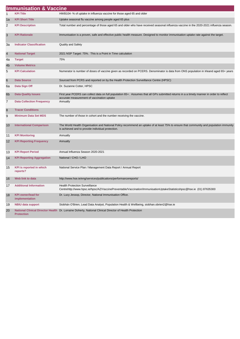|                           | <b>Immunisation &amp; Vaccine</b>           |                                                                                                                                                                                             |
|---------------------------|---------------------------------------------|---------------------------------------------------------------------------------------------------------------------------------------------------------------------------------------------|
| 1                         | <b>KPI Title</b>                            | HWB104-% of uptake in influenza vaccine for those aged 65 and older                                                                                                                         |
| 1a                        | <b>KPI Short Title</b>                      | Uptake seasonal flu vaccine among people aged 65 plus                                                                                                                                       |
| 2                         | <b>KPI Description</b>                      | Total number and percentage of those aged 65 and older who have received seasonal influenza vaccine in the 2020-2021 influenza season.                                                      |
| $\ensuremath{\mathsf{3}}$ | <b>KPI Rationale</b>                        | Immunisation is a proven, safe and effective public health measure. Designed to monitor immunisation uptake rate against the target.                                                        |
| За                        | <b>Indicator Classification</b>             | <b>Quality and Safety</b>                                                                                                                                                                   |
| $\overline{4}$            | <b>National Target</b>                      | 2021 NSP Target: 75%. This is a Point in Time calculation                                                                                                                                   |
| 4a                        | <b>Target</b>                               | 75%                                                                                                                                                                                         |
| 4 <sub>b</sub>            | <b>Volume Metrics</b>                       |                                                                                                                                                                                             |
| 5                         | <b>KPI Calculation</b>                      | Numerator is number of doses of vaccine given as recorded on PCERS. Denominator is data from ONS population in Irleand aged 65+ years                                                       |
| $\,6$                     | <b>Data Source</b>                          | Sourced from PCRS and reported on by the Health Protection Surveillance Centre (HPSC)                                                                                                       |
| 6a                        | Data Sign Off                               | Dr. Suzanne Cotter, HPSC                                                                                                                                                                    |
| 6 <sub>b</sub>            | <b>Data Quality Issues</b>                  | First year PCERS can collect data on full population 65+. Assumes that all GPs submitted returns in a a timely manner in order to reflect<br>accurate measurement of vaccination uptake     |
| $\overline{7}$            | <b>Data Collection Frequency</b>            | Annually                                                                                                                                                                                    |
| 8                         | <b>Tracer Conditions</b>                    |                                                                                                                                                                                             |
| 9                         | <b>Minimum Data Set MDS</b>                 | The number of those in cohort and the number receiving the vaccine.                                                                                                                         |
| 10                        | <b>International Comparison</b>             | The World Health Organisation and National Policy recommend an uptake of at least 75% to ensure that community and population immunity<br>is achieved and to provide individual protection. |
| 11                        | <b>KPI Monitoring</b>                       | Annually                                                                                                                                                                                    |
| 12                        | <b>KPI Reporting Frequency</b>              | Annually                                                                                                                                                                                    |
| 13                        | <b>KPI Report Period</b>                    | Annual Influenza Season 2020-2021                                                                                                                                                           |
| 14                        | <b>KPI Reporting Aggregation</b>            | National / CHO / LHO                                                                                                                                                                        |
| 15                        | KPI is reported in which<br>reports?        | National Service Plan / Management Data Report / Annual Report                                                                                                                              |
| 16                        | Web link to data                            | http://www.hse.ie/eng/services/publications/performancereports/                                                                                                                             |
| 17                        | <b>Additional Information</b>               | <b>Health Protection Surveillance</b><br>Centrehttp://www.hpsc.ie/hpsc/AZ/VaccinePreventable/Vaccination/ImmunisationUptakeStatisticshpsc@hse.ie (01) 87635300                              |
| 18                        | <b>KPI</b> owner/lead for<br>implementation | Dr. Lucy Jessop, Director, National Immunisation Office.                                                                                                                                    |
| 19                        | <b>NBIU data support</b>                    | Siobhán O'Brien, Lead Data Analyst, Population Health & Wellbeing, siobhan.obrien2@hse.ie                                                                                                   |
| 20                        | <b>Protection</b>                           | National Clinical Director Health Dr. Lorraine Doherty, National Clinical Director of Health Protection                                                                                     |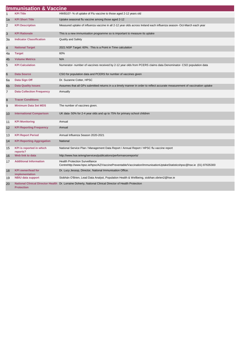|                 | <b>Immunisation &amp; Vaccine</b>           |                                                                                                                                                                |
|-----------------|---------------------------------------------|----------------------------------------------------------------------------------------------------------------------------------------------------------------|
| $\mathbf{1}$    | <b>KPI Title</b>                            | HWB107-% of uptake of Flu vaccine to those aged 2-12 years old                                                                                                 |
| 1a              | <b>KPI Short Title</b>                      | Uptake seasonal flu vaccine among those aged 2-12                                                                                                              |
| $\overline{2}$  | <b>KPI Description</b>                      | Measured uptake of influenza vaccine in all 2-12 year olds across Ireland each influenza season- Oct-March each year                                           |
| 3               | <b>KPI Rationale</b>                        | This is a new immunisation programme so is important to measure its uptake                                                                                     |
| 3a              | <b>Indicator Classification</b>             | Quality and Safety                                                                                                                                             |
| $\overline{4}$  | <b>National Target</b>                      | 2021 NSP Target: 60%. This is a Point in Time calculation                                                                                                      |
| 4a              | <b>Target</b>                               | 60%                                                                                                                                                            |
| 4 <sub>b</sub>  | <b>Volume Metrics</b>                       | N/A                                                                                                                                                            |
| 5               | <b>KPI Calculation</b>                      | Numerator- number of vaccines received by 2-12 year olds from PCERS claims data Denominator-CSO population data                                                |
| $6\phantom{1}6$ | <b>Data Source</b>                          | CSO for population data and PCERS for number of vaccines given                                                                                                 |
| 6a              | Data Sign Off                               | Dr. Suzanne Cotter, HPSC                                                                                                                                       |
| 6 <sub>b</sub>  | <b>Data Quality Issues</b>                  | Assumes that all GPs submitted returns in a a timely manner in order to reflect accurate measurement of vaccination uptake                                     |
| 7               | <b>Data Collection Frequency</b>            | Annually                                                                                                                                                       |
| 8               | <b>Tracer Conditions</b>                    |                                                                                                                                                                |
| 9               | <b>Minimum Data Set MDS</b>                 | The number of vaccines given.                                                                                                                                  |
| 10              | <b>International Comparison</b>             | UK data-50% for 2-4 year olds and up to 75% for primary school children                                                                                        |
| 11              | <b>KPI Monitoring</b>                       | Annual                                                                                                                                                         |
| 12              | <b>KPI Reporting Frequency</b>              | Annual                                                                                                                                                         |
| 13              | <b>KPI Report Period</b>                    | Annual Influenza Season 2020-2021                                                                                                                              |
| 14              | <b>KPI Reporting Aggregation</b>            | National                                                                                                                                                       |
| 15              | <b>KPI</b> is reported in which<br>reports? | National Service Plan / Management Data Report / Annual Report / HPSC flu vaccine report                                                                       |
| 16              | Web link to data                            | http://www.hse.ie/eng/services/publications/performancereports/                                                                                                |
| 17              | <b>Additional Information</b>               | <b>Health Protection Surveillance</b><br>Centrehttp://www.hpsc.ie/hpsc/AZ/VaccinePreventable/Vaccination/ImmunisationUptakeStatisticshpsc@hse.ie (01) 87635300 |
| 18              | <b>KPI owner/lead for</b><br>implementation | Dr. Lucy Jessop, Director, National Immunisation Office.                                                                                                       |
| 19              | <b>NBIU data support</b>                    | Siobhán O'Brien, Lead Data Analyst, Population Health & Wellbeing, siobhan.obrien2@hse.ie                                                                      |
| 20              | <b>Protection</b>                           | National Clinical Director Health Dr. Lorraine Doherty, National Clinical Director of Health Protection                                                        |